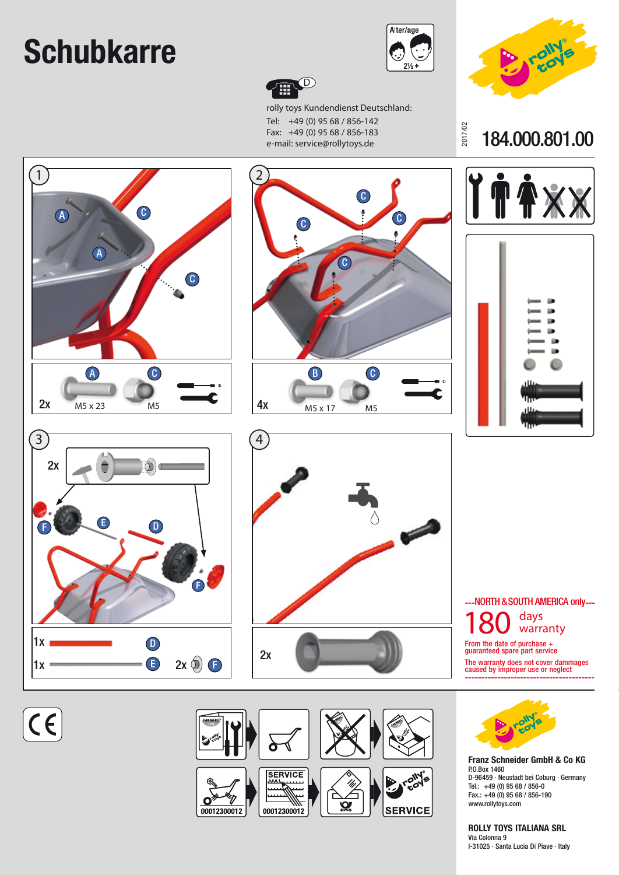## **Schubkarre**



2017/02



rolly toys Kundendienst Deutschland: Tel: +49 (0) 95 68 / 856-142 Fax: +49 (0) 95 68 / 856-183 e-mail: service@rollytoys.de



184.000.801.00

**Franz Schneider GmbH & Co KG**

D-96459 · Neustadt bei Coburg · Germany

Tel.: +49 (0) 95 68 / 856-0 Fax.: +49 (0) 95 68 / 856-190 www.rollytoys.com

**ROLLY TOYS ITALIANA SRL**

I-31025 · Santa Lucia Di Piave · Italy

P.O.Box 1460

Via Colonna 9



 $\overline{C}$